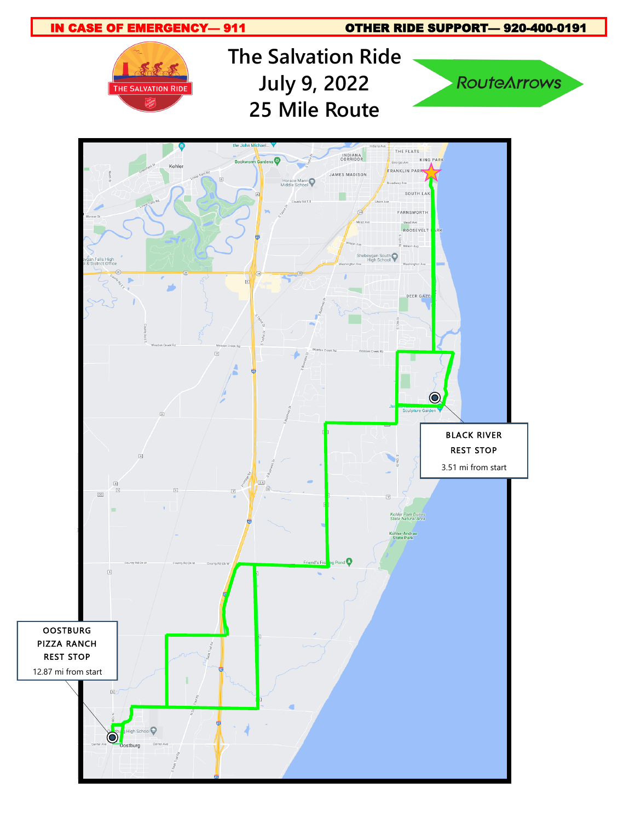